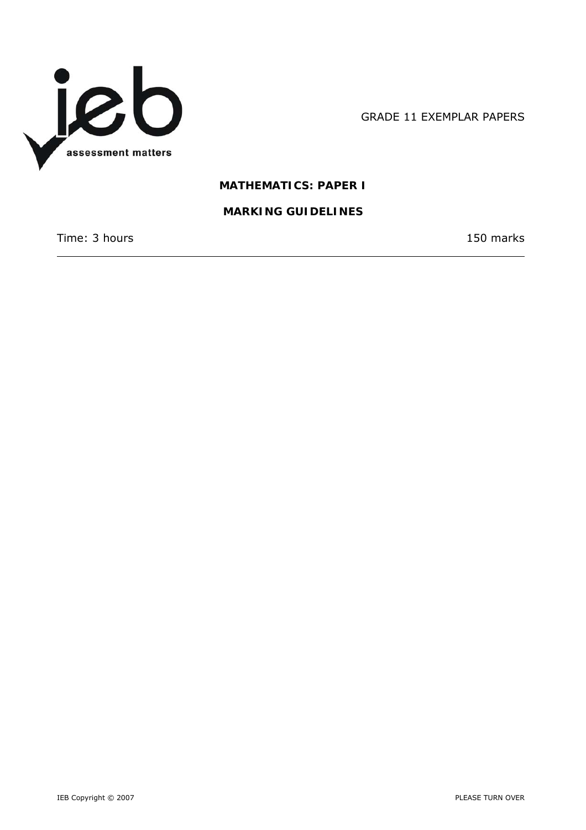

GRADE 11 EXEMPLAR PAPERS

# **MATHEMATICS: PAPER I**

# **MARKING GUIDELINES**

Time: 3 hours 150 marks

 $\overline{\phantom{a}}$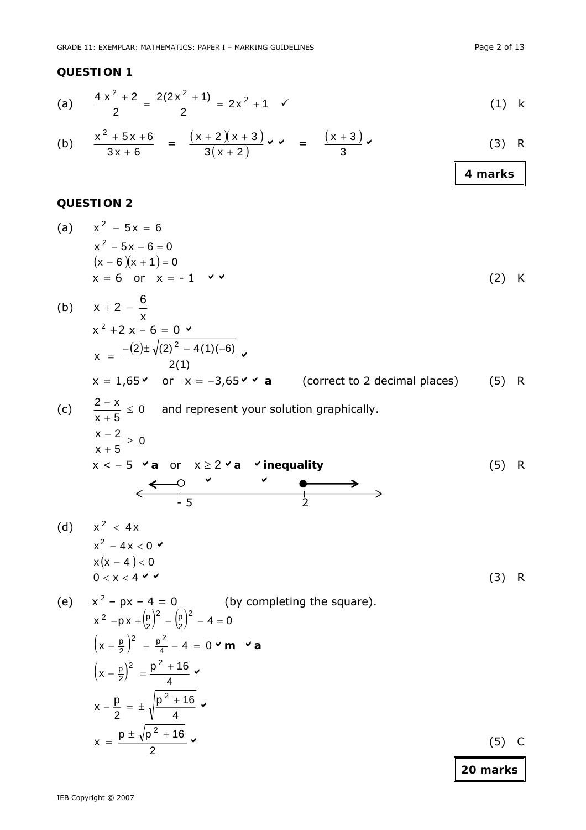(a) 
$$
\frac{4x^2+2}{2} = \frac{2(2x^2+1)}{2} = 2x^2+1 \checkmark
$$
 (1) k

(b) 
$$
\frac{x^2 + 5x + 6}{3x + 6} = \frac{(x + 2)(x + 3)}{3(x + 2)} \vee \vee = \frac{(x + 3)}{3} \vee
$$
 (3) R

# **QUESTION 2**

(a) 
$$
x^2 - 5x = 6
$$
  
\n $x^2 - 5x - 6 = 0$   
\n $(x - 6)(x + 1) = 0$   
\n $x = 6$  or  $x = -1$    
\n(b)  $x = 6$ 

(b) 
$$
x + 2 = \frac{6}{x}
$$
  
\n $x^2 + 2x - 6 = 0$   
\n $x = \frac{-(2) \pm \sqrt{(2)^2 - 4(1)(-6)}}{2(1)}$   
\n $x = 1,65$  or  $x = -3,65$  or  $x = -3,65$  or  $x = -3,65$  or  $x = -3,65$  or  $x = -3,65$  or  $x = -3,65$  or  $x = -3,65$  or  $x = -3,65$  or  $x = -3,65$  or  $x = -3,65$  or  $x = -3,65$  or  $x = -3,65$  or  $x = -3,65$  or  $x = -3,65$  or  $x = -3,65$  or  $x = -3,65$  or  $x = -3,65$  or  $x = -3,65$  or  $x = -3,65$  or  $x = -3,65$  or  $x = -3,65$  or  $x = -3,65$  or  $x = -3,65$  or  $x = -3,65$  or  $x = -3,65$  or  $x = -3,65$  or  $x = -3,65$  or  $x = -3,65$  or  $x = -3,65$  or  $x = -3,65$  or  $x = -3,65$  or  $x = -3,65$  or  $x = -3,65$  or  $x = -3,65$  or  $x = -3,65$  or  $x = -3,65$  or  $x = -3,65$  or  $x = -3,65$  or  $x = -3,65$  or  $x = -3,65$  or  $x = -3,65$  or  $x = -3,65$  or  $x = -3,65$  or  $x = -3,65$  or  $x = -3,65$  or  $x = -3,65$  or  $x = -3,65$  or  $x = -3,65$  or  $x = -3,65$  or  $x = -3,65$  or  $x = -3,65$  or  $x = -3,65$ 

(a) 
$$
x^2 - 4x
$$
  
\n $x^2 - 4x < 0$   
\n $x(x - 4) < 0$   
\n $0 < x < 4$  (3) R

(e) 
$$
x^2 - px - 4 = 0
$$
 (by completing the square).  
\n $x^2 - px + (\frac{p}{2})^2 - (\frac{p}{2})^2 - 4 = 0$   
\n $(x - \frac{p}{2})^2 - \frac{p^2}{4} - 4 = 0 \vee m \vee a$   
\n $(x - \frac{p}{2})^2 = \frac{p^2 + 16}{4} \vee$   
\n $x - \frac{p}{2} = \pm \sqrt{\frac{p^2 + 16}{4}} \vee$   
\n $x = \frac{p \pm \sqrt{p^2 + 16}}{2}$  (5) C

**20 marks**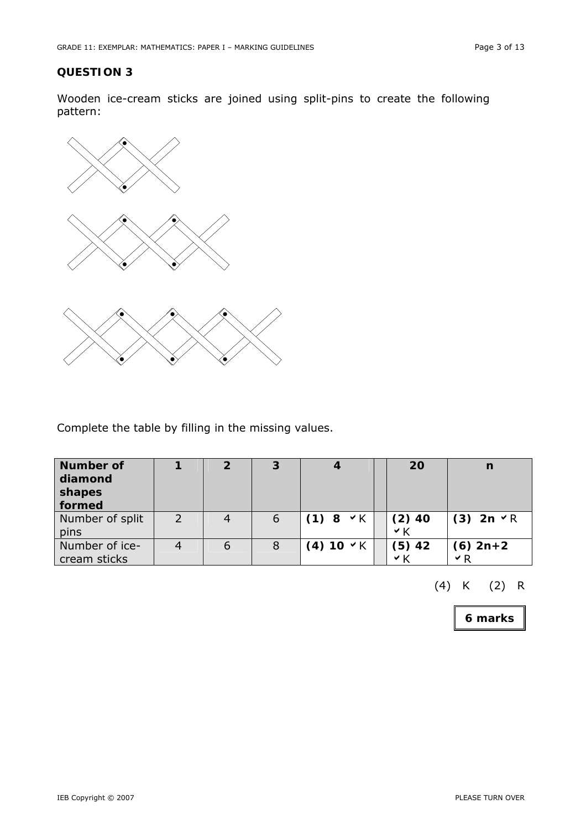Wooden ice-cream sticks are joined using split-pins to create the following pattern:



Complete the table by filling in the missing values.

| <b>Number of</b><br>diamond<br>shapes<br>formed |               |   | 3 |                   |     | 20       | n                      |
|-------------------------------------------------|---------------|---|---|-------------------|-----|----------|------------------------|
| Number of split<br>pins                         | $\mathcal{P}$ |   | 6 | $(1) 8 \times K$  | Y K | $(2)$ 40 | $(3)$ 2n $\vee$ R      |
| Number of ice-<br>cream sticks                  |               | b | 8 | $(4) 10 \times K$ | ∨ K | $(5)$ 42 | $(6)$ 2n+2<br>$\vee$ R |

(4) K (2) R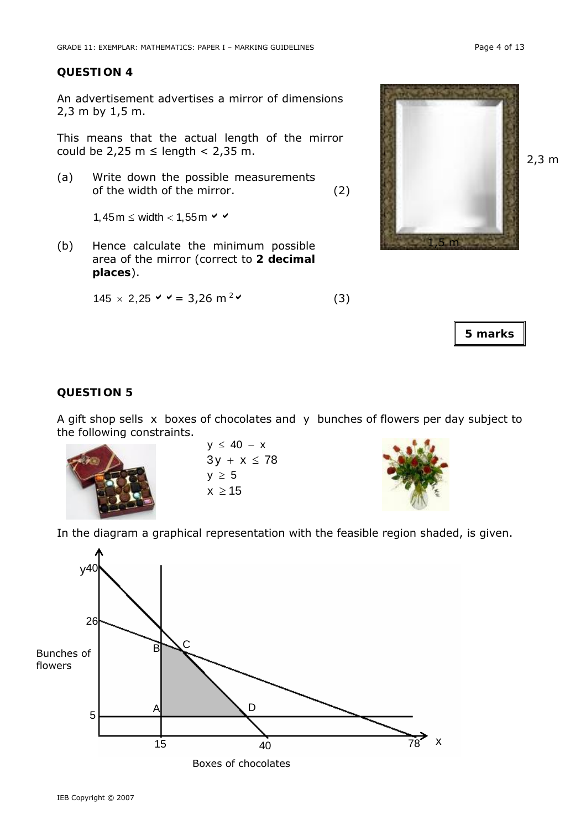An advertisement advertises a mirror of dimensions 2,3 m by 1,5 m.

This means that the actual length of the mirror could be 2,25 m  $\leq$  length  $<$  2,35 m.

(a) Write down the possible measurements of the width of the mirror. (2)

1,45m  $\leq$  width  $<$  1,55m  $\leq$   $\leq$ 

(b) Hence calculate the minimum possible area of the mirror (correct to **2 decimal places**).

$$
145 \times 2,25 \vee \vee = 3,26 \text{ m}^2 \vee \tag{3}
$$



**5 marks** 

## **QUESTION 5**

A gift shop sells x boxes of chocolates and y bunches of flowers per day subject to the following constraints.



 $y \le 40 - x$  $3y + x \le 78$  $y \geq 5$  $x > 15$ 



In the diagram a graphical representation with the feasible region shaded, is given.

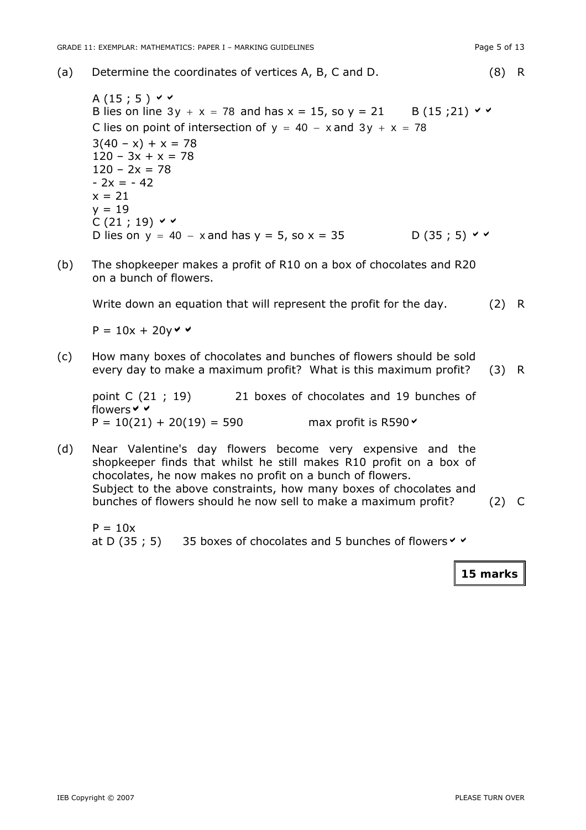(a) Determine the coordinates of vertices A, B, C and D. (8) R

A  $(15; 5)$   $\vee$   $\vee$ B lies on line  $3y + x = 78$  and has  $x = 15$ , so  $y = 21$  B (15;21)  $\vee$ C lies on point of intersection of  $y = 40 - x$  and  $3y + x = 78$  $3(40 - x) + x = 78$  $120 - 3x + x = 78$  $120 - 2x = 78$  $- 2x = - 42$  $x = 21$  $y = 19$  $C(21:19)$   $\vee$   $\vee$ D lies on y = 40 – x and has y = 5, so x = 35 D (35 ; 5)  $\vee$   $\vee$ 

(b) The shopkeeper makes a profit of R10 on a box of chocolates and R20 on a bunch of flowers.

Write down an equation that will represent the profit for the day. (2) R

 $P = 10x + 20y \vee$ 

(c) How many boxes of chocolates and bunches of flowers should be sold every day to make a maximum profit? What is this maximum profit? (3) R

point C (21 ; 19) 21 boxes of chocolates and 19 bunches of flowers  $\vee$   $\vee$  $P = 10(21) + 20(19) = 590$  max profit is R590

(d) Near Valentine's day flowers become very expensive and the shopkeeper finds that whilst he still makes R10 profit on a box of chocolates, he now makes no profit on a bunch of flowers. Subject to the above constraints, how many boxes of chocolates and bunches of flowers should he now sell to make a maximum profit? (2) C

 $P = 10x$ at D (35 ; 5) 35 boxes of chocolates and 5 bunches of flowers  $\vee$   $\vee$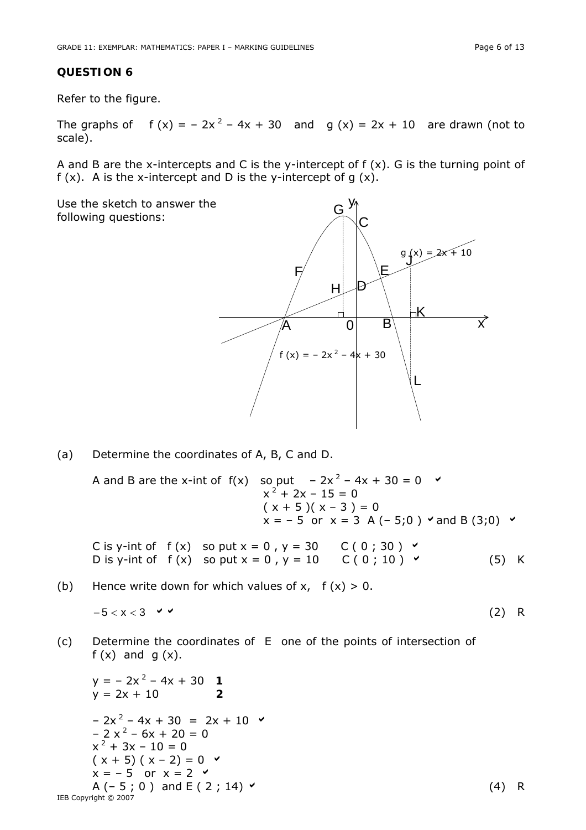Refer to the figure.

The graphs of  $f(x) = -2x^2 - 4x + 30$  and  $g(x) = 2x + 10$  are drawn (not to scale).

A and B are the x-intercepts and C is the y-intercept of  $f(x)$ . G is the turning point of f  $(x)$ . A is the x-intercept and D is the y-intercept of q  $(x)$ .

Use the sketch to answer the following questions:



(a) Determine the coordinates of A, B, C and D.

A and B are the x-int of  $f(x)$  so put  $-2x^2 - 4x + 30 = 0$  $x^2 + 2x - 15 = 0$  $(x + 5)(x - 3) = 0$  $x = -5$  or  $x = 3$  A (-5;0)  $\checkmark$  and B (3;0)  $\checkmark$ 

C is y-int of  $f(x)$  so put  $x = 0$ ,  $y = 30$  C (0; 30)  $\vee$ D is y-int of  $f(x)$  so put  $x = 0$ ,  $y = 10$  C (0; 10) a (5) K

(b) Hence write down for which values of  $x$ ,  $f(x) > 0$ .

$$
-5 < x < 3 \quad \checkmark
$$
 (2) R

(c) Determine the coordinates of E one of the points of intersection of  $f(x)$  and  $g(x)$ .

IEB Copyright © 2007 y = – 2x 2 – 4x + 30 *1* y = 2x + 10 **2**  – 2x 2 – 4x + 30 = 2x + 10 a – 2 x 2 – 6x + 20 = 0 x 2 + 3x – 10 = 0 ( x + 5) ( x – 2) = 0 a x = – 5 or x = 2 a A (– 5 ; 0 ) and E ( 2 ; 14) a (4) R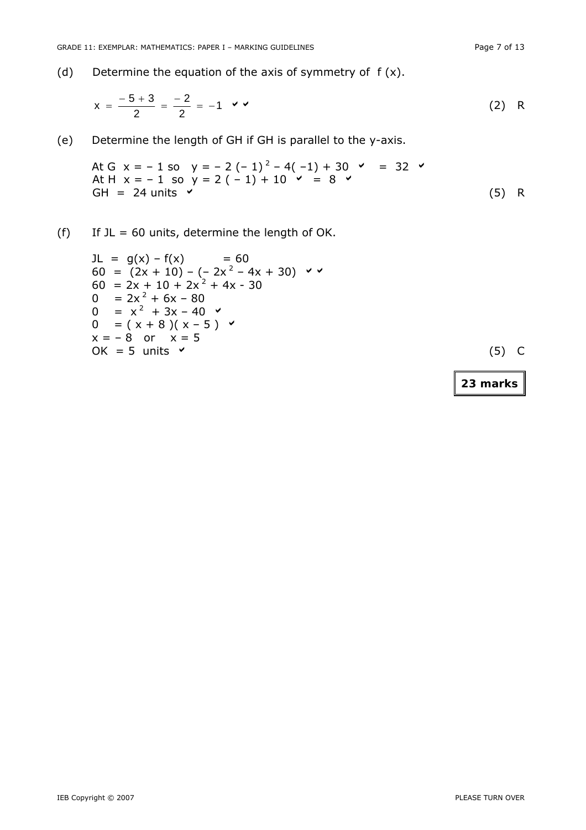$$
x = \frac{-5+3}{2} = \frac{-2}{2} = -1 \quad \checkmark
$$
 (2) R

(e) Determine the length of GH if GH is parallel to the y-axis.

At G x = -1 so y = -2 (-1)<sup>2</sup> - 4(-1) + 30 
$$
\checkmark
$$
 = 32  $\checkmark$   
At H x = -1 so y = 2 (-1) + 10  $\checkmark$  = 8  $\checkmark$  (5) R

(f) If  $JL = 60$  units, determine the length of OK.

\n
$$
\begin{aligned}\n &\text{JL} = g(x) - f(x) = 60 \\
 &\text{60} = (2x + 10) - (-2x^2 - 4x + 30) \quad \checkmark \\
 &\text{60} = 2x + 10 + 2x^2 + 4x - 30 \\
 &\text{0} = 2x^2 + 6x - 80 \\
 &\text{0} = x^2 + 3x - 40 \quad \checkmark \\
 &\text{0} = (x + 8)(x - 5) \quad \checkmark \\
 &\text{x} = -8 \quad \text{or} \quad x = 5 \\
 &\text{OK} = 5 \quad \text{units} \quad \checkmark\n \end{aligned}
$$
\n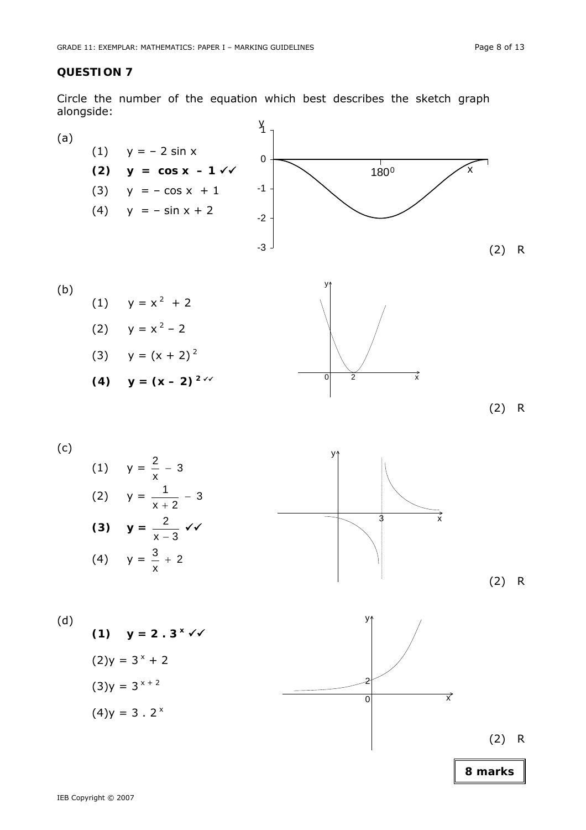Circle the number of the equation which best describes the sketch graph alongside:



(2) R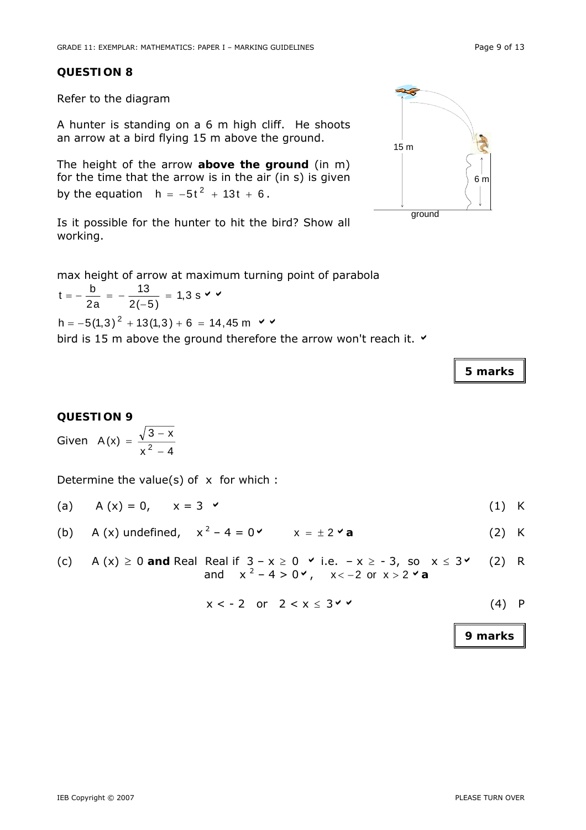Refer to the diagram

A hunter is standing on a 6 m high cliff. He shoots an arrow at a bird flying 15 m above the ground.

The height of the arrow **above the ground** (in m) for the time that the arrow is in the air (in s) is given by the equation  $h = -5t^2 + 13t + 6$ .

Is it possible for the hunter to hit the bird? Show all working.

max height of arrow at maximum turning point of parabola

1,3 s  $2(-5)$ 13  $t = -\frac{b}{2a} = -\frac{13}{2(-5)} = 1.3$  s  $\vee$   $\vee$ h =  $-5(1,3)^2$  + 13(1,3) + 6 = 14,45 m  $\vee$   $\vee$ 

bird is 15 m above the ground therefore the arrow won't reach it.  $\vee$ 

# **QUESTION 9**

Given  $x^2 - 4$  $3 - x$  $A(x) = \frac{v^2}{x^2 - 1}$  $=\frac{\sqrt{3}-\sqrt{3}}{2}$ 

Determine the value(s) of  $x$  for which :

- (a)  $A(x) = 0, \quad x = 3$  (1) K
- (b) A (x) undefined,  $x^2 4 = 0$  x =  $\pm 2$  a (2) K
- (c) A  $(x) \ge 0$  and Real Real if  $3 x \ge 0$  v i.e.  $-x \ge -3$ , so  $x \le 3$  (2) R and  $x^2 - 4 > 0$ ,  $x < -2$  or  $x > 2$  a

$$
x < -2 \quad \text{or} \quad 2 < x \leq 3 \checkmark \tag{4}
$$

**9 marks** 

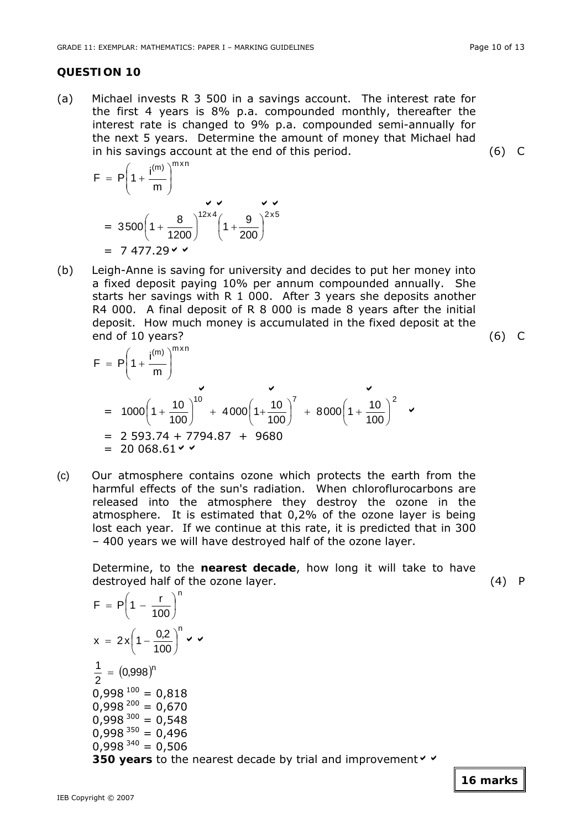(a) Michael invests R 3 500 in a savings account. The interest rate for the first 4 years is 8% p.a. compounded monthly, thereafter the interest rate is changed to 9% p.a. compounded semi-annually for the next 5 years. Determine the amount of money that Michael had in his savings account at the end of this period. (6) C

$$
F = P\left(1 + \frac{i^{(m)}}{m}\right)^{m \times n}
$$
  
= 3500 $\left(1 + \frac{8}{1200}\right)^{12 \times 4} \left(1 + \frac{9}{200}\right)^{2 \times 5}$   
= 7 477.29  $\checkmark$ 

n

(b) Leigh-Anne is saving for university and decides to put her money into a fixed deposit paying 10% per annum compounded annually. She starts her savings with R 1 000. After 3 years she deposits another R4 000. A final deposit of R 8 000 is made 8 years after the initial deposit. How much money is accumulated in the fixed deposit at the end of 10 years? (6) C

$$
F = P\left(1 + \frac{i^{(m)}}{m}\right)^{m \times n}
$$
  
=  $1000\left(1 + \frac{10}{100}\right)^{10} + 4000\left(1 + \frac{10}{100}\right)^{7} + 8000\left(1 + \frac{10}{100}\right)^{2}$    
= 2 593.74 + 7794.87 + 9680  
= 20 068.61 <

(c) Our atmosphere contains ozone which protects the earth from the harmful effects of the sun's radiation. When chloroflurocarbons are released into the atmosphere they destroy the ozone in the atmosphere. It is estimated that 0,2% of the ozone layer is being lost each year. If we continue at this rate, it is predicted that in 300 – 400 years we will have destroyed half of the ozone layer.

Determine, to the **nearest decade**, how long it will take to have destroyed half of the ozone layer. (4) P

$$
F = P\left(1 - \frac{r}{100}\right)^{n}
$$
  
\n
$$
x = 2x\left(1 - \frac{0.2}{100}\right)^{n} \checkmark
$$
  
\n
$$
\frac{1}{2} = (0.998)^{n}
$$
  
\n
$$
0.998^{100} = 0.818
$$
  
\n
$$
0.998^{200} = 0.670
$$
  
\n
$$
0.998^{300} = 0.548
$$
  
\n
$$
0.998^{300} = 0.496
$$
  
\n
$$
0.998^{350} = 0.496
$$
  
\n
$$
0.998^{340} = 0.506
$$
  
\n350 years to the nearest decade by trial and improvement  $\checkmark$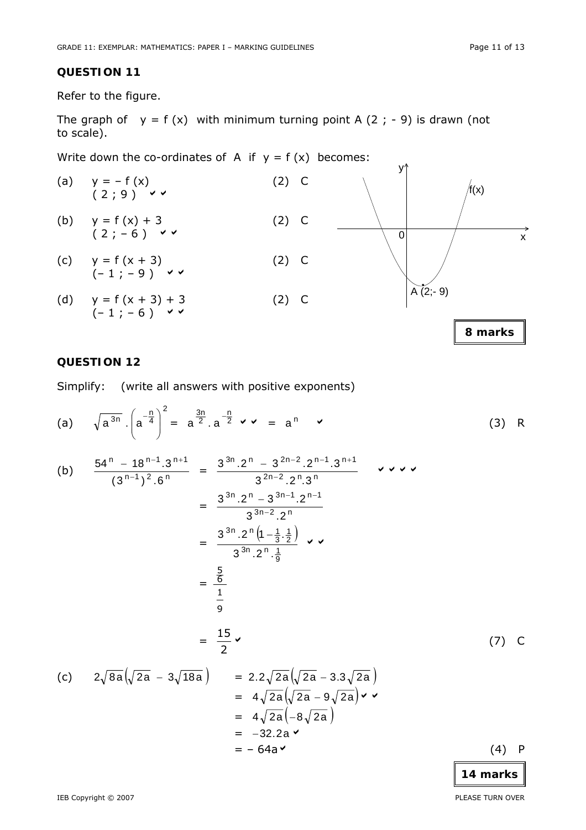Refer to the figure.

The graph of  $y = f(x)$  with minimum turning point A (2; -9) is drawn (not to scale).

Write down the co-ordinates of A if  $y = f(x)$  becomes:



## **QUESTION 12**

Simplify: (write all answers with positive exponents)

(a) 
$$
\sqrt{a^{3n}} \cdot \left( a^{-\frac{n}{4}} \right)^2 = a^{\frac{3n}{2}} \cdot a^{-\frac{n}{2}} \cdot \cdot \cdot = a^n
$$
 (3) R

(b) 
$$
\frac{54^{n} - 18^{n-1} \cdot 3^{n+1}}{(3^{n-1})^{2} \cdot 6^{n}} = \frac{3^{3n} \cdot 2^{n} - 3^{2n-2} \cdot 2^{n-1} \cdot 3^{n+1}}{3^{2n-2} \cdot 2^{n} \cdot 3^{n}}
$$

$$
= \frac{3^{3n} \cdot 2^{n} - 3^{3n-1} \cdot 2^{n-1}}{3^{3n-2} \cdot 2^{n}}
$$

$$
= \frac{3^{3n} \cdot 2^{n} (1 - \frac{1}{3} \cdot \frac{1}{2})}{3^{3n} \cdot 2^{n} \cdot \frac{1}{9}} \cdot \frac{1}{3^{3n}}
$$

$$
= \frac{\frac{5}{6}}{\frac{1}{9}}
$$

$$
= \frac{15}{2} \cdot \frac{15}{3^{3n}}
$$
(7) C

$$
\begin{array}{lll}\n\text{(c)} & 2\sqrt{8a}\left(\sqrt{2a} - 3\sqrt{18a}\right) & = & 2.2\sqrt{2a}\left(\sqrt{2a} - 3.3\sqrt{2a}\right) \\
& = & 4\sqrt{2a}\left(\sqrt{2a} - 9\sqrt{2a}\right) \vee \vee \\
& = & 4\sqrt{2a}\left(-8\sqrt{2a}\right) \\
& = & -32.2a \vee \\
& = & -64a \vee\n\end{array}
$$
\n
$$
\tag{4} \text{ P}
$$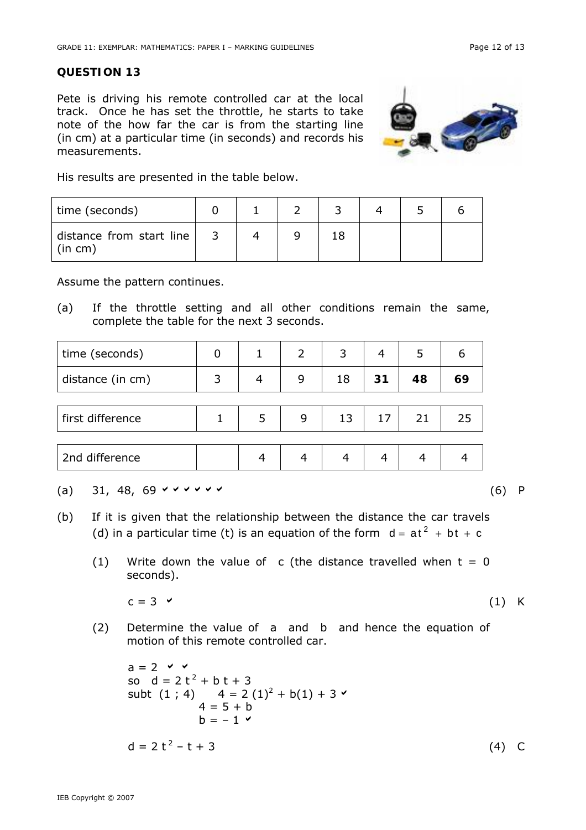Pete is driving his remote controlled car at the local track. Once he has set the throttle, he starts to take note of the how far the car is from the starting line (in cm) at a particular time (in seconds) and records his measurements.



His results are presented in the table below.

| time (seconds)                      |  |  |  |  |
|-------------------------------------|--|--|--|--|
| distance from start line<br>(in cm) |  |  |  |  |

Assume the pattern continues.

(a) If the throttle setting and all other conditions remain the same, complete the table for the next 3 seconds.

| time (seconds)   |   |   | 2 |    | 4  | 5  | 6  |
|------------------|---|---|---|----|----|----|----|
| distance (in cm) | 3 | 4 | 9 | 18 | 31 | 48 | 69 |
|                  |   |   |   |    |    |    |    |
| first difference |   | 5 | 9 | 13 | 17 | 21 | 25 |
|                  |   |   |   |    |    |    |    |
| 2nd difference   |   |   |   | 4  |    | 4  |    |

(a) 31, 48, 69  $\checkmark$   $\checkmark$   $\checkmark$   $\checkmark$   $\checkmark$   $\checkmark$   $\checkmark$   $\checkmark$   $\checkmark$   $\checkmark$   $\checkmark$   $\checkmark$   $\checkmark$   $\checkmark$   $\checkmark$   $\checkmark$   $\checkmark$   $\checkmark$   $\checkmark$   $\checkmark$   $\checkmark$   $\checkmark$   $\checkmark$   $\checkmark$   $\checkmark$   $\checkmark$   $\checkmark$   $\checkmark$   $\checkmark$   $\checkmark$   $\checkmark$   $\checkmark$   $\checkmark$   $\checkmark$   $\$ 

- (b) If it is given that the relationship between the distance the car travels (d) in a particular time (t) is an equation of the form  $d = at^2 + bt + c$ 
	- (1) Write down the value of c (the distance travelled when  $t = 0$ seconds).

 $c = 3$   $\times$  (1) K

(2) Determine the value of a and b and hence the equation of motion of this remote controlled car.

 $a = 2$   $\vee$   $\vee$ so  $d = 2t^2 + b t + 3$ subt  $(1; 4)$   $4 = 2(1)^2 + b(1) + 3$  $4 = 5 + b$  $b = -1$   $\checkmark$  $d = 2t^2 - t + 3$  (4) C